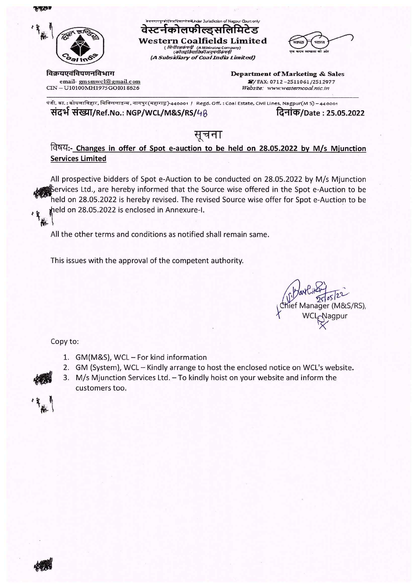安全的



## वेस्टर्नकोलफील्ड्सलिमिटेड

( मिनीरत्नकंपनी: (A Miniratna Company)<br>( कोलइंग्रियातिकीअनुषंगीकंपनी (A Subsidiary of Coal India Limited)

गारत

विक्रयएवंविपणनविभाग

email-gmsmwcl@gmail.com CIN - U10100MH1975GOI018626

Department of Marketing & Sales 8/FAX: 0712-2511061/2512977 Website: www.westerncoal.nic.in

पंजी. का. : कोयलाविहार, सिविललाइन्स, नागपुर(महाराष्ट्र)-440001 / Regd. Off. : Coal Estate, Civil Lines, Nagpur(M S) – 440001 संदर्भ संख्या/Ref.No.: NGP/WCL/M&S/RS/48 दिनांक/Date : 25.05.2022

## सूचना

विषय:- Changes in offer of Spot e-auction to be held on 28.05.2022 by M/s Mjunction **Services Limited** 

All prospective bidders of Spot e-Auction to be conducted on 28.05.2022 by M/s Mjunction Services Ltd., are hereby informed that the Source wise offered in the Spot e-Auction to be held on 28.05.2022 is hereby revised. The revised Source wise offer for Spot e-Auction to be held on 28.05.2022 is enclosed in Annexure-I. 

All the other terms and conditions as notified shall remain same.

This issues with the approval of the competent authority.

lanager (M&S/RS). Nagpur

Copy to:

- 1. GM(M&S), WCL For kind information
- 2. GM (System), WCL Kindly arrange to host the enclosed notice on WCL's website.
- 3. M/s Mjunction Services Ltd. To kindly hoist on your website and inform the customers too.